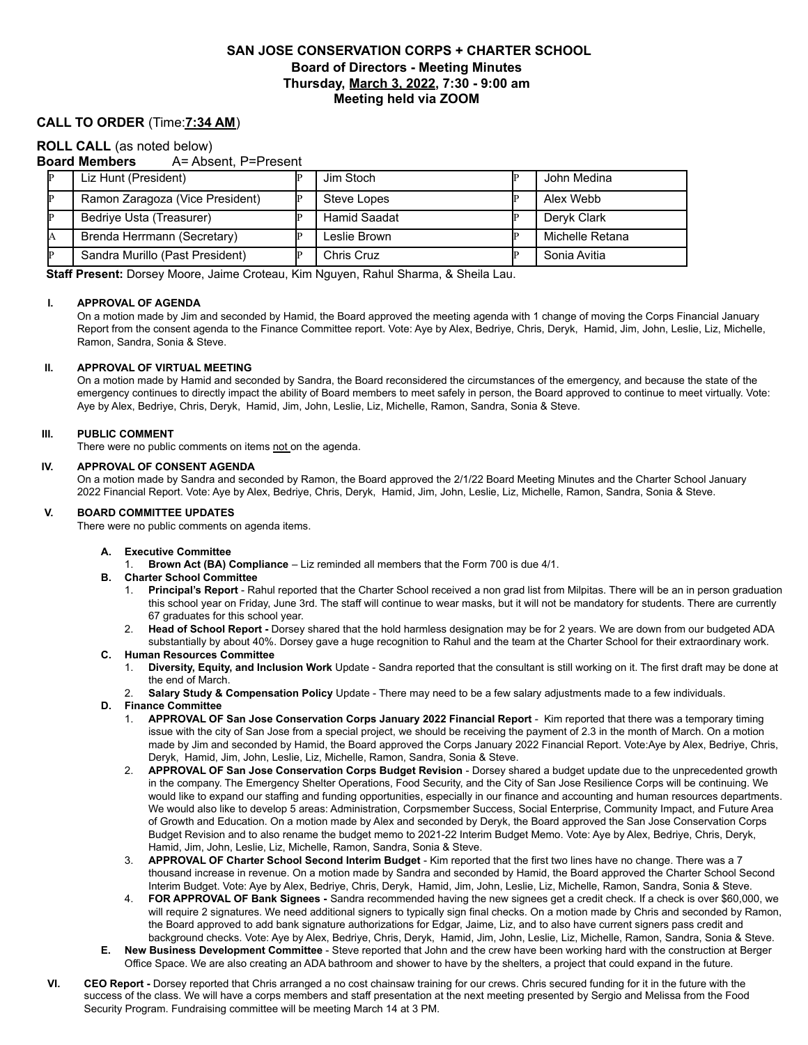# **SAN JOSE CONSERVATION CORPS + CHARTER SCHOOL Board of Directors - Meeting Minutes Thursday, March 3, 2022, 7:30 - 9:00 am Meeting held via ZOOM**

# **CALL TO ORDER** (Time:**7:34 AM**)

## **ROLL CALL** (as noted below)

## **Board Members** A= Absent, P=Present

| Liz Hunt (President)            | Jim Stoch    | John Medina     |
|---------------------------------|--------------|-----------------|
| Ramon Zaragoza (Vice President) | Steve Lopes  | Alex Webb       |
| Bedriye Usta (Treasurer)        | Hamid Saadat | Deryk Clark     |
| Brenda Herrmann (Secretary)     | Leslie Brown | Michelle Retana |
| Sandra Murillo (Past President) | Chris Cruz   | Sonia Avitia    |

**Staff Present:** Dorsey Moore, Jaime Croteau, Kim Nguyen, Rahul Sharma, & Sheila Lau.

#### **I. APPROVAL OF AGENDA**

On a motion made by Jim and seconded by Hamid, the Board approved the meeting agenda with 1 change of moving the Corps Financial January Report from the consent agenda to the Finance Committee report. Vote: Aye by Alex, Bedriye, Chris, Deryk, Hamid, Jim, John, Leslie, Liz, Michelle, Ramon, Sandra, Sonia & Steve.

#### **II. APPROVAL OF VIRTUAL MEETING**

On a motion made by Hamid and seconded by Sandra, the Board reconsidered the circumstances of the emergency, and because the state of the emergency continues to directly impact the ability of Board members to meet safely in person, the Board approved to continue to meet virtually. Vote: Aye by Alex, Bedriye, Chris, Deryk, Hamid, Jim, John, Leslie, Liz, Michelle, Ramon, Sandra, Sonia & Steve.

#### **III. PUBLIC COMMENT**

There were no public comments on items not on the agenda.

#### **IV. APPROVAL OF CONSENT AGENDA**

On a motion made by Sandra and seconded by Ramon, the Board approved the 2/1/22 Board Meeting Minutes and the Charter School January 2022 Financial Report. Vote: Aye by Alex, Bedriye, Chris, Deryk, Hamid, Jim, John, Leslie, Liz, Michelle, Ramon, Sandra, Sonia & Steve.

#### **V. BOARD COMMITTEE UPDATES**

There were no public comments on agenda items.

- **A. Executive Committee**
	- 1. **Brown Act (BA) Compliance** Liz reminded all members that the Form 700 is due 4/1.
- **B. Charter School Committee**
	- 1. **Principal's Report** Rahul reported that the Charter School received a non grad list from Milpitas. There will be an in person graduation this school year on Friday, June 3rd. The staff will continue to wear masks, but it will not be mandatory for students. There are currently 67 graduates for this school year.
	- 2. **Head of School Report -** Dorsey shared that the hold harmless designation may be for 2 years. We are down from our budgeted ADA substantially by about 40%. Dorsey gave a huge recognition to Rahul and the team at the Charter School for their extraordinary work.
- **C. Human Resources Committee**
	- 1. **Diversity, Equity, and Inclusion Work** Update Sandra reported that the consultant is still working on it. The first draft may be done at the end of March.
	- 2. **Salary Study & Compensation Policy** Update There may need to be a few salary adjustments made to a few individuals.
- **D. Finance Committee**
	- 1. **APPROVAL OF San Jose Conservation Corps January 2022 Financial Report** Kim reported that there was a temporary timing issue with the city of San Jose from a special project, we should be receiving the payment of 2.3 in the month of March. On a motion made by Jim and seconded by Hamid, the Board approved the Corps January 2022 Financial Report. Vote:Aye by Alex, Bedriye, Chris, Deryk, Hamid, Jim, John, Leslie, Liz, Michelle, Ramon, Sandra, Sonia & Steve.
	- 2. **APPROVAL OF San Jose Conservation Corps Budget Revision** Dorsey shared a budget update due to the unprecedented growth in the company. The Emergency Shelter Operations, Food Security, and the City of San Jose Resilience Corps will be continuing. We would like to expand our staffing and funding opportunities, especially in our finance and accounting and human resources departments. We would also like to develop 5 areas: Administration, Corpsmember Success, Social Enterprise, Community Impact, and Future Area of Growth and Education. On a motion made by Alex and seconded by Deryk, the Board approved the San Jose Conservation Corps Budget Revision and to also rename the budget memo to 2021-22 Interim Budget Memo. Vote: Aye by Alex, Bedriye, Chris, Deryk, Hamid, Jim, John, Leslie, Liz, Michelle, Ramon, Sandra, Sonia & Steve.
	- 3. **APPROVAL OF Charter School Second Interim Budget** Kim reported that the first two lines have no change. There was a 7 thousand increase in revenue. On a motion made by Sandra and seconded by Hamid, the Board approved the Charter School Second Interim Budget. Vote: Aye by Alex, Bedriye, Chris, Deryk, Hamid, Jim, John, Leslie, Liz, Michelle, Ramon, Sandra, Sonia & Steve.
	- 4. **FOR APPROVAL OF Bank Signees -** Sandra recommended having the new signees get a credit check. If a check is over \$60,000, we will require 2 signatures. We need additional signers to typically sign final checks. On a motion made by Chris and seconded by Ramon, the Board approved to add bank signature authorizations for Edgar, Jaime, Liz, and to also have current signers pass credit and background checks. Vote: Aye by Alex, Bedriye, Chris, Deryk, Hamid, Jim, John, Leslie, Liz, Michelle, Ramon, Sandra, Sonia & Steve.
- **E. New Business Development Committee** Steve reported that John and the crew have been working hard with the construction at Berger Office Space. We are also creating an ADA bathroom and shower to have by the shelters, a project that could expand in the future.
- **VI. CEO Report -** Dorsey reported that Chris arranged a no cost chainsaw training for our crews. Chris secured funding for it in the future with the success of the class. We will have a corps members and staff presentation at the next meeting presented by Sergio and Melissa from the Food Security Program. Fundraising committee will be meeting March 14 at 3 PM.